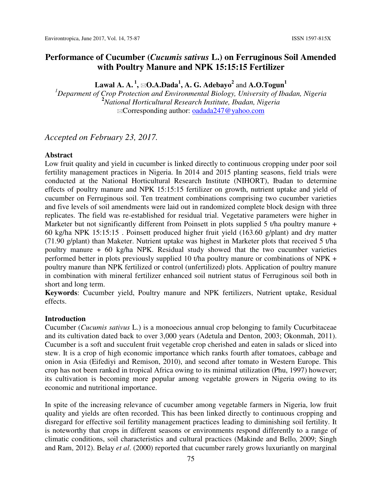# **Performance of Cucumber (***Cucumis sativus* **L.) on Ferruginous Soil Amended with Poultry Manure and NPK 15:15:15 Fertilizer**

 $\mathbf{L}$ awal A. A.  $^1\!,$   $\boxtimes \mathbf{O}$ .A. $\mathbf{D}$ ada $^1\!,$  A.  $\mathbf{G}$ . Adebayo $^2$  and A. $\mathbf{O}$ .Togun $^1$ 

*<sup>1</sup>Deparment of Crop Protection and Environmental Biology, University of Ibadan, Nigeria*  **<sup>2</sup>***National Horticultural Research Institute, Ibadan, Nigeria*  Corresponding author: oadada247@yahoo.com

*Accepted on February 23, 2017.* 

#### **Abstract**

Low fruit quality and yield in cucumber is linked directly to continuous cropping under poor soil fertility management practices in Nigeria. In 2014 and 2015 planting seasons, field trials were conducted at the National Horticultural Research Institute (NIHORT), Ibadan to determine effects of poultry manure and NPK 15:15:15 fertilizer on growth, nutrient uptake and yield of cucumber on Ferruginous soil. Ten treatment combinations comprising two cucumber varieties and five levels of soil amendments were laid out in randomized complete block design with three replicates. The field was re-established for residual trial. Vegetative parameters were higher in Marketer but not significantly different from Poinsett in plots supplied 5 t/ha poultry manure + 60 kg/ha NPK 15:15:15 . Poinsett produced higher fruit yield (163.60 g/plant) and dry matter (71.90 g/plant) than Maketer. Nutrient uptake was highest in Marketer plots that received 5 t/ha poultry manure + 60 kg/ha NPK. Residual study showed that the two cucumber varieties performed better in plots previously supplied 10 t/ha poultry manure or combinations of NPK + poultry manure than NPK fertilized or control (unfertilized) plots. Application of poultry manure in combination with mineral fertilizer enhanced soil nutrient status of Ferruginous soil both in short and long term.

**Keywords**: Cucumber yield, Poultry manure and NPK fertilizers, Nutrient uptake, Residual effects.

#### **Introduction**

Cucumber (*Cucumis sativus* L.) is a monoecious annual crop belonging to family Cucurbitaceae and its cultivation dated back to over 3,000 years (Adetula and Denton, 2003; Okonmah, 2011). Cucumber is a soft and succulent fruit vegetable crop cherished and eaten in salads or sliced into stew. It is a crop of high economic importance which ranks fourth after tomatoes, cabbage and onion in Asia (Eifediyi and Remison, 2010), and second after tomato in Western Europe. This crop has not been ranked in tropical Africa owing to its minimal utilization (Phu, 1997) however; its cultivation is becoming more popular among vegetable growers in Nigeria owing to its economic and nutritional importance.

In spite of the increasing relevance of cucumber among vegetable farmers in Nigeria, low fruit quality and yields are often recorded. This has been linked directly to continuous cropping and disregard for effective soil fertility management practices leading to diminishing soil fertility. It is noteworthy that crops in different seasons or environments respond differently to a range of climatic conditions, soil characteristics and cultural practices (Makinde and Bello*,* 2009; Singh and Ram, 2012). Belay *et al*. (2000) reported that cucumber rarely grows luxuriantly on marginal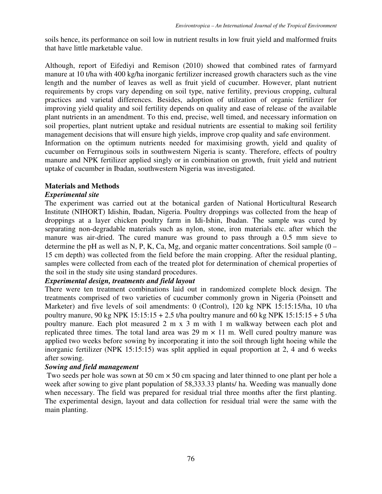soils hence, its performance on soil low in nutrient results in low fruit yield and malformed fruits that have little marketable value.

Although, report of Eifediyi and Remison (2010) showed that combined rates of farmyard manure at 10 t/ha with 400 kg/ha inorganic fertilizer increased growth characters such as the vine length and the number of leaves as well as fruit yield of cucumber. However, plant nutrient requirements by crops vary depending on soil type, native fertility, previous cropping, cultural practices and varietal differences. Besides, adoption of utilzation of organic fertilizer for improving yield quality and soil fertility depends on quality and ease of release of the available plant nutrients in an amendment. To this end, precise, well timed, and necessary information on soil properties, plant nutrient uptake and residual nutrients are essential to making soil fertility management decisions that will ensure high yields, improve crop quality and safe environment. Information on the optimum nutrients needed for maximising growth, yield and quality of

cucumber on Ferruginous soils in southwestern Nigeria is scanty. Therefore, effects of poultry manure and NPK fertilizer applied singly or in combination on growth, fruit yield and nutrient uptake of cucumber in Ibadan, southwestern Nigeria was investigated.

## **Materials and Methods**

## *Experimental site*

The experiment was carried out at the botanical garden of National Horticultural Research Institute (NIHORT) Idishin, Ibadan, Nigeria. Poultry droppings was collected from the heap of droppings at a layer chicken poultry farm in Idi-Ishin, Ibadan. The sample was cured by separating non-degradable materials such as nylon, stone, iron materials etc. after which the manure was air-dried. The cured manure was ground to pass through a 0.5 mm sieve to determine the pH as well as N, P, K, Ca, Mg, and organic matter concentrations. Soil sample (0 – 15 cm depth) was collected from the field before the main cropping. After the residual planting, samples were collected from each of the treated plot for determination of chemical properties of the soil in the study site using standard procedures.

# *Experimental design, treatments and field layout*

There were ten treatment combinations laid out in randomized complete block design. The treatments comprised of two varieties of cucumber commonly grown in Nigeria (Poinsett and Marketer) and five levels of soil amendments: 0 (Control), 120 kg NPK 15:15:15/ha, 10 t/ha poultry manure, 90 kg NPK  $15:15:15 + 2.5$  t/ha poultry manure and 60 kg NPK  $15:15:15 + 5$  t/ha poultry manure. Each plot measured 2 m x 3 m with 1 m walkway between each plot and replicated three times. The total land area was 29 m  $\times$  11 m. Well cured poultry manure was applied two weeks before sowing by incorporating it into the soil through light hoeing while the inorganic fertilizer (NPK 15:15:15) was split applied in equal proportion at 2, 4 and 6 weeks after sowing.

# *Sowing and field management*

Two seeds per hole was sown at 50 cm  $\times$  50 cm spacing and later thinned to one plant per hole a week after sowing to give plant population of 58,333.33 plants/ ha. Weeding was manually done when necessary. The field was prepared for residual trial three months after the first planting. The experimental design, layout and data collection for residual trial were the same with the main planting.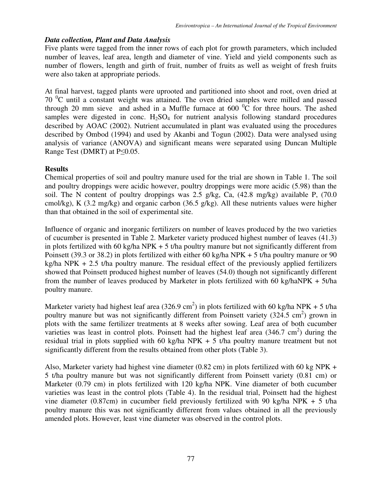### *Data collection, Plant and Data Analysis*

Five plants were tagged from the inner rows of each plot for growth parameters, which included number of leaves, leaf area, length and diameter of vine. Yield and yield components such as number of flowers, length and girth of fruit, number of fruits as well as weight of fresh fruits were also taken at appropriate periods.

At final harvest, tagged plants were uprooted and partitioned into shoot and root, oven dried at  $70<sup>0</sup>C$  until a constant weight was attained. The oven dried samples were milled and passed through 20 mm sieve and ashed in a Muffle furnace at  $600<sup>o</sup>C$  for three hours. The ashed samples were digested in conc.  $H_2SO_4$  for nutrient analysis following standard procedures described by AOAC (2002). Nutrient accumulated in plant was evaluated using the procedures described by Ombod (1994) and used by Akanbi and Togun (2002). Data were analysed using analysis of variance (ANOVA) and significant means were separated using Duncan Multiple Range Test (DMRT) at P≤0.05.

## **Results**

Chemical properties of soil and poultry manure used for the trial are shown in Table 1. The soil and poultry droppings were acidic however, poultry droppings were more acidic (5.98) than the soil. The N content of poultry droppings was 2.5 g/kg, Ca, (42.8 mg/kg) available P, (70.0 cmol/kg), K (3.2 mg/kg) and organic carbon (36.5 g/kg). All these nutrients values were higher than that obtained in the soil of experimental site.

Influence of organic and inorganic fertilizers on number of leaves produced by the two varieties of cucumber is presented in Table 2. Marketer variety produced highest number of leaves (41.3) in plots fertilized with 60 kg/ha NPK  $+$  5 t/ha poultry manure but not significantly different from Poinsett (39.3 or 38.2) in plots fertilized with either 60 kg/ha NPK + 5 t/ha poultry manure or 90 kg/ha NPK  $+ 2.5$  t/ha poultry manure. The residual effect of the previously applied fertilizers showed that Poinsett produced highest number of leaves (54.0) though not significantly different from the number of leaves produced by Marketer in plots fertilized with 60 kg/haNPK  $+ 5t/ha$ poultry manure.

Marketer variety had highest leaf area (326.9 cm<sup>2</sup>) in plots fertilized with 60 kg/ha NPK + 5 t/ha poultry manure but was not significantly different from Poinsett variety  $(324.5 \text{ cm}^2)$  grown in plots with the same fertilizer treatments at 8 weeks after sowing. Leaf area of both cucumber varieties was least in control plots. Poinsett had the highest leaf area  $(346.7 \text{ cm}^2)$  during the residual trial in plots supplied with 60 kg/ha NPK +  $\frac{1}{2}$  t/ha poultry manure treatment but not significantly different from the results obtained from other plots (Table 3).

Also, Marketer variety had highest vine diameter (0.82 cm) in plots fertilized with 60 kg NPK + 5 t/ha poultry manure but was not significantly different from Poinsett variety (0.81 cm) or Marketer (0.79 cm) in plots fertilized with 120 kg/ha NPK. Vine diameter of both cucumber varieties was least in the control plots (Table 4). In the residual trial, Poinsett had the highest vine diameter (0.87cm) in cucumber field previously fertilized with 90 kg/ha NPK + 5 t/ha poultry manure this was not significantly different from values obtained in all the previously amended plots. However, least vine diameter was observed in the control plots.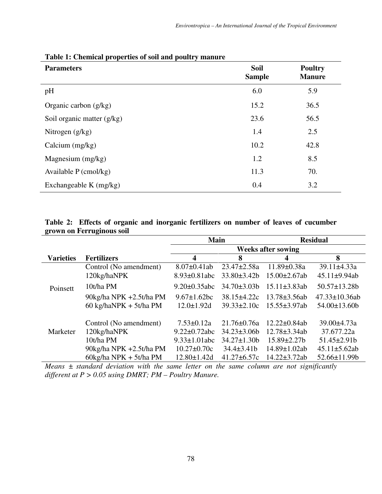| <b>Parameters</b>            | <b>Soil</b><br><b>Sample</b> | <b>Poultry</b><br><b>Manure</b> |
|------------------------------|------------------------------|---------------------------------|
| pH                           | 6.0                          | 5.9                             |
| Organic carbon $(g/kg)$      | 15.2                         | 36.5                            |
| Soil organic matter $(g/kg)$ | 23.6                         | 56.5                            |
| Nitrogen $(g/kg)$            | 1.4                          | 2.5                             |
| Calcium $(mg/kg)$            | 10.2                         | 42.8                            |
| Magnesium $(mg/kg)$          | 1.2                          | 8.5                             |
| Available $P$ (cmol/kg)      | 11.3                         | 70.                             |
| Exchangeable K $(mg/kg)$     | 0.4                          | 3.2                             |

# **Table 1: Chemical properties of soil and poultry manure**

## **Table 2: Effects of organic and inorganic fertilizers on number of leaves of cucumber grown on Ferruginous soil**

|                  |                                        | <b>Main</b>         |                           | <b>Residual</b>     |                      |  |  |  |  |
|------------------|----------------------------------------|---------------------|---------------------------|---------------------|----------------------|--|--|--|--|
|                  |                                        |                     | <b>Weeks after sowing</b> |                     |                      |  |  |  |  |
| <b>Varieties</b> | <b>Fertilizers</b>                     | 4                   | 8                         | 4                   | 8                    |  |  |  |  |
|                  | Control (No amendment)                 | $8.07 \pm 0.41$ ab  | $23.47 \pm 2.58a$         | $11.89 \pm 0.38a$   | $39.11 \pm 4.33a$    |  |  |  |  |
|                  | 120kg/haNPK                            | $8.93 \pm 0.81$ abc | $33.80 \pm 3.42 b$        | $15.00 \pm 2.67$ ab | $45.11 \pm 9.94$ ab  |  |  |  |  |
| Poinsett         | 10t/ha PM                              | $9.20 \pm 0.35$ abc | $34.70\pm3.03b$           | $15.11 \pm 3.83$ ab | $50.57 \pm 13.28$    |  |  |  |  |
|                  | 90kg/ha NPK +2.5t/ha PM                | $9.67 \pm 1.62$ bc  | 38.15±4.22c               | $13.78 \pm 3.56$ ab | $47.33 \pm 10.36$ ab |  |  |  |  |
|                  | 60 kg/haNPK + 5t/ha PM                 | $12.0 \pm 1.92$ d   | $39.33 \pm 2.10c$         | $15.55 \pm 3.97$ ab | $54.00 \pm 13.60$    |  |  |  |  |
|                  | Control (No amendment)                 | $7.53 \pm 0.12a$    | $21.76 \pm 0.76a$         | $12.22 \pm 0.84$ ab | $39.00 \pm 4.73a$    |  |  |  |  |
| Marketer         | 120kg/haNPK                            | $9.22 \pm 0.72$ abc | $34.23 \pm 3.06b$         | $12.78 \pm 3.34$ ab | 37.677.22a           |  |  |  |  |
|                  | 10t/ha PM                              | $9.33 \pm 1.01$ abc | $34.27 \pm 1.30$          | $15.89 \pm 2.27 b$  | $51.45 \pm 2.91b$    |  |  |  |  |
|                  | 90kg/ha NPK +2.5t/ha PM                | $10.27 \pm 0.70c$   | $34.4 \pm 3.41 b$         | $14.89 \pm 1.02$ ab | $45.11 \pm 5.62$ ab  |  |  |  |  |
|                  | $60\text{kg/ha NPK} + 5t/\text{ha PM}$ | $12.80 \pm 1.42$ d  | $41.27 \pm 6.57c$         | $14.22 \pm 3.72ab$  | $52.66 \pm 11.99$    |  |  |  |  |

*Means ± standard deviation with the same letter on the same column are not significantly different at P > 0.05 using DMRT; PM – Poultry Manure.*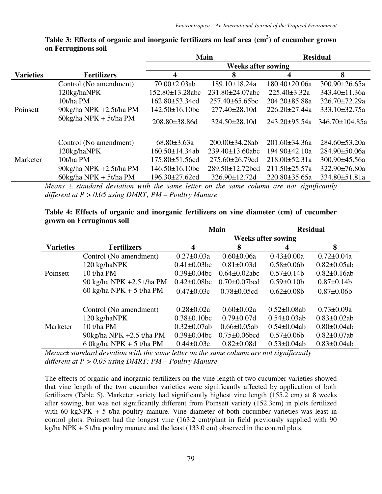|                  |                                 |                           | <b>Main</b>                   | <b>Residual</b>     |                      |  |  |  |  |
|------------------|---------------------------------|---------------------------|-------------------------------|---------------------|----------------------|--|--|--|--|
|                  |                                 | <b>Weeks after sowing</b> |                               |                     |                      |  |  |  |  |
| <b>Varieties</b> | <b>Fertilizers</b>              | 4                         | 8                             | 4                   | 8                    |  |  |  |  |
|                  | Control (No amendment)          | $70.00 \pm 2.03$ ab       | 189.10±18.24a                 | $180.40 \pm 20.06a$ | $300.90 \pm 26.65a$  |  |  |  |  |
|                  | 120kg/haNPK                     | 152.80±13.28abc           | $231.80 \pm 24.07$ abc        | $225.40 \pm 3.32a$  | 343.40±11.36a        |  |  |  |  |
|                  | 10t/ha PM                       | $162.80 \pm 53.34$ cd     | $257.40\pm 65.65$ bc          | $204.20 \pm 85.88a$ | $326.70 \pm 72.29a$  |  |  |  |  |
| Poinsett         | 90kg/ha NPK +2.5t/ha PM         | $142.50 \pm 16.10$ bc     | $277.40 \pm 28.10$ d          | $226.20 \pm 27.44a$ | 333.10±32.75a        |  |  |  |  |
|                  | $60\text{kg/ha}$ NPK + 5t/ha PM | $208.80\pm38.86d$         | $324.50 \pm 28.10$ d          | $243.20 \pm 95.54a$ | $346.70 \pm 104.85a$ |  |  |  |  |
|                  | Control (No amendment)          | $68.80 \pm 3.63a$         | $200.00\pm34.28ab$            | $201.60 \pm 34.36a$ | $284.60 \pm 53.20a$  |  |  |  |  |
|                  | 120kg/haNPK                     | $160.50 \pm 14.34$ ab     | $239.40 \pm 13.60$ abc        | 194.90±42.10a       | $284.90 \pm 50.06a$  |  |  |  |  |
| Marketer         | 10t/ha PM                       | $175.80 \pm 51.56$ cd     | $275.60 \pm 26.79$ cd         | $218.00 \pm 52.31a$ | $300.90 \pm 45.56a$  |  |  |  |  |
|                  | 90kg/ha NPK +2.5t/ha PM         | $146.50 \pm 16.10$ bc     | $289.50 \pm 12.72 \text{bcd}$ | $211.50 \pm 25.57a$ | $322.90 \pm 76.80a$  |  |  |  |  |
|                  | $60\text{kg/ha}$ NPK + 5t/ha PM | $196.30 \pm 27.62$ cd     | 326.90±12.72d                 | $220.80 \pm 35.65a$ | 334.80±51.81a        |  |  |  |  |

## **Table 3: Effects of organic and inorganic fertilizers on leaf area (cm<sup>2</sup> ) of cucumber grown on Ferruginous soil**

*Means ± standard deviation with the same letter on the same column are not significantly different at P > 0.05 using DMRT; PM – Poultry Manure* 

# **Table 4: Effects of organic and inorganic fertilizers on vine diameter (cm) of cucumber grown on Ferruginous soil**

|                  |                           |                           | <b>Main</b>         | <b>Residual</b>    |                    |  |  |
|------------------|---------------------------|---------------------------|---------------------|--------------------|--------------------|--|--|
|                  |                           | <b>Weeks after sowing</b> |                     |                    |                    |  |  |
| <b>Varieties</b> | <b>Fertilizers</b>        | 4                         | 8                   |                    | 8                  |  |  |
|                  | Control (No amendment)    | $0.27 \pm 0.03a$          | $0.60 \pm 0.06a$    | $0.43 \pm 0.00a$   | $0.72 \pm 0.04a$   |  |  |
|                  | 120 kg/haNPK              | $0.41 \pm 0.03$ bc        | $0.81 \pm 0.03$ d   | $0.58 \pm 0.06$    | $0.82 \pm 0.05$ ab |  |  |
| Poinsett         | 10 t/ha PM                | $0.39 \pm 0.04$ bc        | $0.64 \pm 0.02$ abc | $0.57 \pm 0.14b$   | $0.82 \pm 0.16$ ab |  |  |
|                  | 90 kg/ha NPK +2.5 t/ha PM | $0.42 \pm 0.08$ bc        | $0.70 \pm 0.07$ bcd | $0.59 \pm 0.10b$   | $0.87 \pm 0.14b$   |  |  |
|                  | 60 kg/ha NPK + 5 t/ha PM  | $0.47 \pm 0.03c$          | $0.78 \pm 0.05$ cd  | $0.62 \pm 0.08$    | $0.87 \pm 0.06$    |  |  |
|                  | Control (No amendment)    | $0.28 \pm 0.02a$          | $0.60 \pm 0.02a$    | $0.52 \pm 0.08$ ab | $0.73 \pm 0.09a$   |  |  |
|                  | 120 kg/haNPK              | $0.38 \pm 0.10$ bc        | $0.79 \pm 0.07d$    | $0.54 \pm 0.03$ ab | $0.83 \pm 0.02$ ab |  |  |
| Marketer         | 10 t/ha PM                | $0.32 \pm 0.07$ ab        | $0.66 \pm 0.05$ ab  | $0.54 \pm 0.04$ ab | $0.80 \pm 0.04$ ab |  |  |
|                  | 90kg/ha NPK +2.5 t/ha PM  | $0.39 \pm 0.04$ bc        | $0.75 \pm 0.06$ bcd | $0.57 \pm 0.06b$   | $0.82 \pm 0.07$ ab |  |  |
|                  | 6 0 kg/ha NPK + 5 t/ha PM | $0.44 \pm 0.03c$          | $0.82 \pm 0.08d$    | $0.53 \pm 0.04$ ab | $0.83 \pm 0.04$ ab |  |  |

*Means± standard deviation with the same letter on the same column are not significantly different at P > 0.05 using DMRT; PM – Poultry Manure* 

The effects of organic and inorganic fertilizers on the vine length of two cucumber varieties showed that vine length of the two cucumber varieties were significantly affected by application of both fertilizers (Table 5). Marketer variety had significantly highest vine length (155.2 cm) at 8 weeks after sowing, but was not significantly different from Poinsett variety (152.3cm) in plots fertilized with 60 kgNPK + 5 t/ha poultry manure. Vine diameter of both cucumber varieties was least in control plots. Poinsett had the longest vine (163.2 cm)/plant in field previously supplied with 90 kg/ha NPK + 5 t/ha poultry manure and the least  $(133.0 \text{ cm})$  observed in the control plots.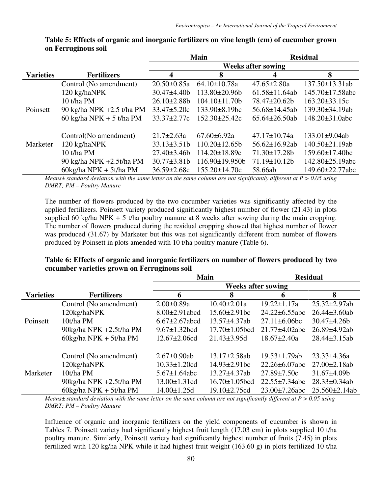|                  |                                        |                    | <b>Main</b>          | <b>Residual</b>           |                        |  |
|------------------|----------------------------------------|--------------------|----------------------|---------------------------|------------------------|--|
|                  |                                        |                    |                      | <b>Weeks after sowing</b> |                        |  |
| <b>Varieties</b> | <b>Fertilizers</b>                     | 4                  | 8                    | 4                         | 8                      |  |
|                  | Control (No amendment)                 | $20.50 \pm 0.85a$  | $64.10 \pm 10.78a$   | $47.65 \pm 2.80a$         | 137.50±13.31ab         |  |
|                  | 120 kg/haNPK                           | $30.47 \pm 4.40$   | $113.80 \pm 20.96$   | $61.58 \pm 11.64$ ab      | $145.70 \pm 17.58$ abc |  |
|                  | 10 t/ha PM                             | $26.10\pm2.88b$    | $104.10\pm11.70b$    | $78.47 \pm 20.62 b$       | $163.20 \pm 33.15c$    |  |
| Poinsett         | 90 kg/ha NPK +2.5 t/ha PM              | $33.47 \pm 5.20c$  | $133.90 \pm 8.19$ bc | $56.68 \pm 14.45$ ab      | 139.30±34.19ab         |  |
|                  | 60 kg/ha NPK + 5 t/ha PM               | $33.37 \pm 2.77c$  | $152.30 \pm 25.42c$  | $65.64 \pm 26.50$ ab      | $148.20 \pm 31.0$ abc  |  |
|                  |                                        |                    |                      |                           |                        |  |
|                  | Control(No amendment)                  | $21.7 \pm 2.63a$   | $67.60 \pm 6.92a$    | $47.17 \pm 10.74a$        | $133.01 \pm 9.04$ ab   |  |
| Marketer         | 120 kg/haNPK                           | $33.13 \pm 3.51b$  | $110.20 \pm 12.65 b$ | $56.62 \pm 16.92$ ab      | $140.50 \pm 21.19$ ab  |  |
|                  | 10 t/ha PM                             | $27.40 \pm 3.46 b$ | $114.20 \pm 18.89c$  | $71.30 \pm 17.28b$        | $159.60 \pm 17.40$ bc  |  |
|                  | 90 kg/ha NPK +2.5t/ha PM               | $30.77 \pm 3.81 b$ | $116.90 \pm 19.950$  | $71.19 \pm 10.12b$        | 142.80±25.19abc        |  |
|                  | $60\text{kg/ha NPK} + 5t/\text{ha PM}$ | $36.59 \pm 2.68c$  | $155.20 \pm 14.70c$  | 58.66ab                   | $149.60 \pm 22.77$ abc |  |

### **Table 5: Effects of organic and inorganic fertilizers on vine length (cm) of cucumber grown on Ferruginous soil**

*Means± standard deviation with the same letter on the same column are not significantly different at P > 0.05 using DMRT; PM – Poultry Manure* 

The number of flowers produced by the two cucumber varieties was significantly affected by the applied fertilizers. Poinsett variety produced significantly highest number of flower (21.43) in plots supplied 60 kg/ha NPK + 5 t/ha poultry manure at 8 weeks after sowing during the main cropping. The number of flowers produced during the residual cropping showed that highest number of flower was produced (31.67) by Marketer but this was not significantly different from number of flowers produced by Poinsett in plots amended with 10 t/ha poultry manure (Table 6).

|                  |                                 |                            | <b>Main</b>                 | <b>Residual</b>      |                     |  |  |
|------------------|---------------------------------|----------------------------|-----------------------------|----------------------|---------------------|--|--|
|                  |                                 |                            |                             |                      |                     |  |  |
| <b>Varieties</b> | <b>Fertilizers</b>              | 6                          | 8                           | 6                    | 8                   |  |  |
|                  | Control (No amendment)          | $2.00 \pm 0.89a$           | $10.40 \pm 2.01a$           | $19.22 \pm 1.17a$    | $25.32 \pm 2.97$ ab |  |  |
|                  | 120kg/haNPK                     | $8.00 \pm 2.91$ abcd       | $15.60 \pm 2.91$ bc         | $24.22 \pm 6.55$ abc | $26.44\pm3.60ab$    |  |  |
| Poinsett         | 10t/ha PM                       | $6.67 \pm 2.67$ abcd       | $13.57 + 4.37ab$            | $27.11 \pm 6.06$ bc  | $30.47\pm4.26b$     |  |  |
|                  | 90kg/ha NPK +2.5t/ha PM         | $9.67 \pm 1.32 \text{bcd}$ | $17.70 \pm 1.05 \text{bcd}$ | $21.77 \pm 4.02$ abc | $26.89 \pm 4.92$ ab |  |  |
|                  | $60\text{kg/ha}$ NPK + 5t/ha PM | $12.67 \pm 2.06$ cd        | $21.43 \pm 3.95$ d          | $18.67 \pm 2.40a$    | $28.44 \pm 3.15$ ab |  |  |
|                  | Control (No amendment)          | $2.67 \pm 0.90$ ab         | $13.17 \pm 2.58$ ab         | $19.53 \pm 1.79$ ab  | $23.33 \pm 4.36a$   |  |  |
|                  | 120kg/haNPK                     | $10.33 \pm 1.20$ cd        | $14.93 \pm 2.91$ bc         | $22.26 \pm 6.07$ abc | $27.00 \pm 2.18$ ab |  |  |
| Marketer         | 10t/ha PM                       | $5.67 \pm 1.64$ abc        | $13.27 \pm 4.37$ ab         | $27.89 \pm 7.50c$    | $31.67\pm4.09b$     |  |  |
|                  | 90kg/ha NPK +2.5t/ha PM         | $13.00 \pm 1.31$ cd        | $16.70 \pm 1.05 \text{bcd}$ | $22.55 \pm 7.34$ abc | $28.33 \pm 0.34$ ab |  |  |
|                  | $60\text{kg/ha}$ NPK + 5t/ha PM | $14.00 \pm 1.25 d$         | $19.10 \pm 2.75$ cd         | $23.00 \pm 7.26$ abc | $25.560 \pm 2.14ab$ |  |  |

### **Table 6: Effects of organic and inorganic fertilizers on number of flowers produced by two cucumber varieties grown on Ferruginous soil**

*Means± standard deviation with the same letter on the same column are not significantly different at P > 0.05 using DMRT; PM – Poultry Manure* 

Influence of organic and inorganic fertilizers on the yield components of cucumber is shown in Tables 7. Poinsett variety had significantly highest fruit length (17.03 cm) in plots supplied 10 t/ha poultry manure. Similarly, Poinsett variety had significantly highest number of fruits (7.45) in plots fertilized with 120 kg/ha NPK while it had highest fruit weight (163.60 g) in plots fertilized 10 t/ha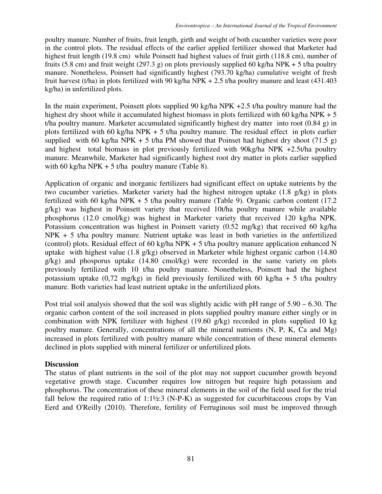poultry manure. Number of fruits, fruit length, girth and weight of both cucumber varieties were poor in the control plots. The residual effects of the earlier applied fertilizer showed that Marketer had highest fruit length (19.8 cm) while Poinsett had highest values of fruit girth (118.8 cm), number of fruits (5.8 cm) and fruit weight (297.3 g) on plots previously supplied 60 kg/ha NPK + 5 t/ha poultry manure. Nonetheless, Poinsett had significantly highest (793.70 kg/ha) cumulative weight of fresh fruit harvest (t/ha) in plots fertilized with 90 kg/ha NPK + 2.5 t/ha poultry manure and least (431.403) kg/ha) in unfertilized plots.

In the main experiment, Poinsett plots supplied 90 kg/ha NPK +2.5 t/ha poultry manure had the highest dry shoot while it accumulated highest biomass in plots fertilized with 60 kg/ha NPK + 5 t/ha poultry manure. Marketer accumulated significantly highest dry matter into root (0.84 g) in plots fertilized with 60 kg/ha NPK + 5 t/ha poultry manure. The residual effect in plots earlier supplied with 60 kg/ha NPK + 5 t/ha PM showed that Poinset had highest dry shoot (71.5 g) and highest total biomass in plot previously fertilized with 90kg/ha NPK +2.5t/ha poultry manure. Meanwhile, Marketer had significantly highest root dry matter in plots earlier supplied with 60 kg/ha NPK + 5 t/ha poultry manure (Table 8).

Application of organic and inorganic fertilizers had significant effect on uptake nutrients by the two cucumber varieties. Marketer variety had the highest nitrogen uptake (1.8 g/kg) in plots fertilized with 60 kg/ha NPK + 5 t/ha poultry manure (Table 9). Organic carbon content (17.2) g/kg) was highest in Poinsett variety that received 10t/ha poultry manure while available phosphorus (12.0 cmol/kg) was highest in Marketer variety that received 120 kg/ha NPK. Potassium concentration was highest in Poinsett variety (0.52 mg/kg) that received 60 kg/ha NPK + 5 t/ha poultry manure. Nutrient uptake was least in both varieties in the unfertilized (control) plots. Residual effect of 60 kg/ha NPK + 5 t/ha poultry manure application enhanced N uptake with highest value (1.8 g/kg) observed in Marketer while highest organic carbon (14.80 g/kg) and phosporus uptake (14.80 cmol/kg) were recorded in the same variety on plots previously fertilized with 10 t/ha poultry manure. Nonetheless, Poinsett had the highest potassium uptake  $(0.72 \text{ mg/kg})$  in field previously fertilized with 60 kg/ha + 5 t/ha poultry manure. Both varieties had least nutrient uptake in the unfertilized plots.

Post trial soil analysis showed that the soil was slightly acidic with pH range of 5.90 – 6.30. The organic carbon content of the soil increased in plots supplied poultry manure either singly or in combination with NPK fertilizer with highest (19.60 g/kg) recorded in plots supplied 10 kg poultry manure. Generally, concentrations of all the mineral nutrients (N, P, K, Ca and Mg) increased in plots fertilized with poultry manure while concentration of these mineral elements declined in plots supplied with mineral fertilizer or unfertilized plots.

# **Discussion**

The status of plant nutrients in the soil of the plot may not support cucumber growth beyond vegetative growth stage. Cucumber requires low nitrogen but require high potassium and phosphorus. The concentration of these mineral elements in the soil of the field used for the trial fall below the required ratio of  $1:1\frac{1}{2}:3$  (N-P-K) as suggested for cucurbitaceous crops by Van Eerd and O'Reilly (2010). Therefore, fertility of Ferruginous soil must be improved through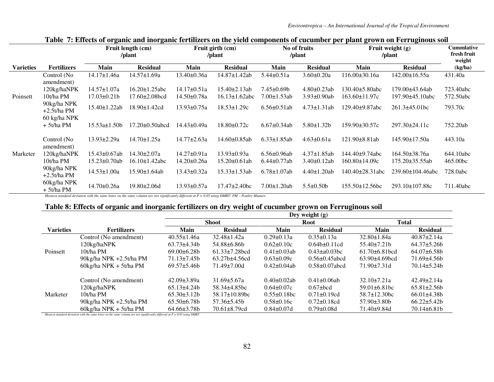|                  |                              | $\overline{\phantom{a}}$ | Fruit girth (cm)<br>Fruit length (cm)<br>/plant<br>/plant |                   | No of fruits<br>/plant |                    | -<br>Fruit weight (g)<br>/plant | <b>Cummlative</b><br>fresh fruit<br>weight |                         |           |
|------------------|------------------------------|--------------------------|-----------------------------------------------------------|-------------------|------------------------|--------------------|---------------------------------|--------------------------------------------|-------------------------|-----------|
| <b>Varieties</b> | <b>Fertilizers</b>           | Main                     | <b>Residual</b>                                           | Main              | <b>Residual</b>        | Main               | <b>Residual</b>                 | Main                                       | <b>Residual</b>         | (kg/ha)   |
|                  | Control (No<br>amendment)    | $14.17 \pm 1.46a$        | $14.57 \pm 1.69a$                                         | 13.40±0.36a       | 14.87±1.42ab           | $5.44 \pm 0.51a$   | $3.60 \pm 0.20a$                | $116.00\pm30.16a$                          | 142.00±16.55a           | 431.40a   |
|                  | 120kg/haNPK                  | $14.57 \pm 1.07a$        | $16.20 \pm 1.25$ abc                                      | $14.17\pm0.51a$   | $15.40 \pm 2.13$ ab    | $7.45 \pm 0.69 b$  | $4.80 \pm 0.23$ ab              | 130.40±5.80abc                             | 179.00±43.64ab          | 723.40abc |
| Poinsett         | 10t/ha PM                    | $17.03 \pm 0.21$         | 17.60±2.08bcd                                             | 14.50±0.78a       | $16.13 \pm 1.62$ abc   | 7.00±1.53ab        | $3.93 \pm 0.90$ ab              | 163.60±11.97c                              | 197.90±45.10abc         | 572.50abc |
|                  | 90kg/ha NPK<br>$+2.5t/ha PM$ | $15.40 \pm 1.22$ ab      | $18.90 \pm 1.42$ cd                                       | $13.93 \pm 0.75a$ | $18.53 \pm 1.29c$      | $6.56 \pm 0.51$ ab | $4.73 \pm 1.31$ ab              | 129.40±9.87abc                             | $261.3\pm45.01bc$       | 793.70c   |
|                  | 60 kg/ha NPK<br>$+5t/ha PM$  | 15.53a±1.50b             | 17.20±0.50abcd                                            | 14.43±0.49a       | 18.80±0.72c            | $6.67 \pm 0.34$ ab | $5.80 \pm 1.32 b$               | 159.90±30.57c                              | 297.30±24.11c           | 752.20ab  |
|                  | Control (No<br>amendment)    | $13.93 \pm 2.29a$        | $14.70 \pm 1.25a$                                         | 14.77±2.63a       | 14.60±0.85ab           | $6.33 \pm 1.85$ ab | $4.63 \pm 0.61a$                | $121.90\pm8.81ab$                          | 145.90±17.50a           | 443.10a   |
| Marketer         | 120kg/haNPK                  | $15.43 \pm 0.67$ ab      | $14.30 \pm 2.07a$                                         | $14.27 \pm 0.91a$ | $13.93 \pm 0.93a$      | $6.56 \pm 0.96$ ab | $4.37 \pm 1.85$ ab              | 144.40±9.74abc                             | 164.50±38.76a           | 644.10abc |
|                  | 10t/ha PM                    | $15.23 \pm 0.70$ ab      | 16.10±1.42abc                                             | 14.20±0.26a       | $15.20 \pm 0.61$ ab    | $6.44 \pm 0.77$ ab | $3.40 \pm 0.12$ ab              | 160.80±14.09c                              | 175.20±35.55ab          | 465.00bc  |
|                  | 90kg/ha NPK<br>$+2.5t/ha PM$ | $14.53 \pm 1.00a$        | $15.90 \pm 1.64$ ab                                       | $13.43 \pm 0.32a$ | $15.33 \pm 1.53$ ab    | $6.78 \pm 1.07$ ab | $4.40 \pm 1.20$ ab              | 140.40±28.31abc                            | $239.60 \pm 104.46$ abc | 728.0abc  |
|                  | 60kg/ha NPK<br>$+5t/ha PM$   | 14.70±0.26a              | $19.80 \pm 2.06$ d                                        | $13.93 \pm 0.57a$ | $17.47 \pm 2.40$ bc    | $7.00 \pm 1.20$ ab | $5.5 \pm 0.50$                  | 155.50±12.56bc                             | 293.10±107.88c          | 711.40abc |

**Table 7: Effects of organic and inorganic fertilizers on the yield components of cucumber per plant grown on Ferruginous soil** 

*Means± standard deviation with the same letter on the same column are not significantly different at P > 0.05 using DMRT; PM – Poultry Manure.* 

## **Table 8: Effects of organic and inorganic fertilizers on dry weight of cucumber grown on Ferruginous soil**

|                  | Dry weight $(g)$                |                    |                             |                    |                       |                     |                    |  |  |
|------------------|---------------------------------|--------------------|-----------------------------|--------------------|-----------------------|---------------------|--------------------|--|--|
|                  |                                 |                    | <b>Shoot</b>                |                    | <b>Root</b>           | <b>Total</b>        |                    |  |  |
| <b>Varieties</b> | <b>Fertilizers</b>              | Main               | <b>Residual</b>             | Main               | <b>Residual</b>       | Main                | <b>Residual</b>    |  |  |
|                  | Control (No amendment)          | $40.55 \pm 1.46a$  | $32.48 \pm 1.42a$           | $0.29 \pm 0.13a$   | $0.35 \pm 0.13a$      | $32.80 \pm 1.84a$   | $40.87 \pm 2.14a$  |  |  |
|                  | 120kg/haNPK                     | $63.73 \pm 4.34 b$ | 54.88±6.86b                 | $0.62 \pm 0.10c$   | $0.64b \pm 0.11cd$    | $55.40\pm7.21h$     | $64.37 \pm 5.26$   |  |  |
| Poinsett         | 10t/ha PM                       | $69.00\pm 6.28b$   | $61.33 \pm 7.28 \text{bcd}$ | $0.41 \pm 0.03$ ab | $0.43 \pm 0.03$ bc    | $61.70\pm 6.81$ bcd | $64.07\pm6.58b$    |  |  |
|                  | 90kg/ha NPK +2.5t/ha PM         | $71.13 \pm 7.45 b$ | $63.27b \pm 4.56c$ d        | $0.63 \pm 0.09c$   | $0.56 \pm 0.45$ abcd  | $63.90\pm4.69$ bcd  | 71.69±4.56b        |  |  |
|                  | $60\text{kg/ha}$ NPK + 5t/ha PM | $69.57 \pm 5.46b$  | $71.49 \pm 7.00$ d          | $0.42 \pm 0.04$ ab | $0.58 \pm 0.07$ abcd  | $71.90\pm7.31d$     | $70.14 \pm 5.24 b$ |  |  |
|                  | Control (No amendment)          | $42.09 \pm 3.89$ a | $31.69 \pm 5.67a$           | $0.40 \pm 0.02$ ab | $0.41 \pm 0.06$ ab    | $32.10 \pm 7.21a$   | $42.49 \pm 2.14a$  |  |  |
|                  | 120kg/haNPK                     | $65.13\pm4.24b$    | $58.34\pm4.85$ bc           | $0.64 \pm 0.07c$   | $0.67 \pm \text{bcd}$ | $59.01 \pm 6.81$ bc | $65.81 \pm 2.56b$  |  |  |
| Marketer         | 10t/ha PM                       | $65.30\pm3.12b$    | $58.17 \pm 10.89$ bc        | $0.55 \pm 0.18$ bc | $0.71 \pm 0.19$ cd    | $58.7 \pm 12.30$ bc | $66.01\pm4.38b$    |  |  |
|                  | 90kg/ha NPK +2.5t/ha PM         | $65.50\pm 6.78b$   | $57.36 \pm 5.45 b$          | $0.58 \pm 0.16c$   | $0.72 \pm 0.18$ cd    | $57.90\pm3.80b$     | $66.22 \pm 5.42b$  |  |  |
|                  | $60\text{kg/ha}$ NPK + 5t/ha PM | $64.66\pm3.78b$    | $70.61 \pm 8.79$ cd         | $0.84 \pm 0.07d$   | $0.79 \pm 0.08$ d     | 71.40±9.84d         | $70.14\pm 6.81b$   |  |  |

*Means± standard deviation with the same letter on the same column are not significantly different at P > 0.05 using DMRT.*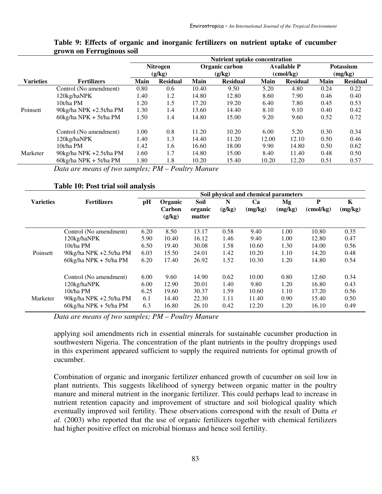|                  |                                 | <b>Nutrient uptake concentration</b> |                 |       |                 |                    |                    |                  |                 |
|------------------|---------------------------------|--------------------------------------|-----------------|-------|-----------------|--------------------|--------------------|------------------|-----------------|
|                  |                                 |                                      | Nitrogen        |       | Organic carbon  | <b>Available P</b> |                    | <b>Potassium</b> |                 |
|                  |                                 |                                      | (g/kg)          |       | (g/kg)          |                    | $\text{(cmol/kg)}$ | (mg/kg)          |                 |
| <b>Varieties</b> | <b>Fertilizers</b>              | Main                                 | <b>Residual</b> | Main  | <b>Residual</b> | Main               | <b>Residual</b>    | Main             | <b>Residual</b> |
|                  | Control (No amendment)          | 0.80                                 | 0.6             | 10.40 | 9.50            | 5.20               | 4.80               | 0.24             | 0.22            |
|                  | 120kg/haNPK                     | 1.40                                 | 1.2             | 14.80 | 12.80           | 8.60               | 7.90               | 0.46             | 0.40            |
|                  | 10t/ha PM                       | 1.20                                 | 1.5             | 17.20 | 19.20           | 6.40               | 7.80               | 0.45             | 0.53            |
| Poinsett         | 90kg/ha NPK +2.5t/ha PM         | 1.30                                 | 1.4             | 13.60 | 14.40           | 8.10               | 9.10               | 0.40             | 0.42            |
|                  | $60\text{kg/ha}$ NPK + 5t/ha PM | 1.50                                 | 1.4             | 14.80 | 15.00           | 9.20               | 9.60               | 0.52             | 0.72            |
|                  | Control (No amendment)          | 1.00                                 | 0.8             | 11.20 | 10.20           | 6.00               | 5.20               | 0.30             | 0.34            |
|                  | 120kg/haNPK                     | 1.40                                 | 1.3             | 14.40 | 11.20           | 12.00              | 12.10              | 0.50             | 0.46            |
|                  | 10t/ha PM                       | 1.42                                 | 1.6             | 16.60 | 18.00           | 9.90               | 14.80              | 0.50             | 0.62            |
| Marketer         | 90kg/ha NPK +2.5t/ha PM         | 1.60                                 | 1.7             | 14.80 | 15.00           | 8.40               | 11.40              | 0.48             | 0.50            |
|                  | $60\text{kg/ha}$ NPK + 5t/ha PM | 1.80                                 | 1.8             | 10.20 | 15.40           | 10.20              | 12.20              | 0.51             | 0.57            |

#### **Table 9: Effects of organic and inorganic fertilizers on nutrient uptake of cucumber grown on Ferruginous soil**

*Data are means of two samples; PM – Poultry Manure* 

#### **Table 10: Post trial soil analysis**

|                  |                                 | Soil physical and chemical parameters |                   |                 |             |               |               |                         |              |  |
|------------------|---------------------------------|---------------------------------------|-------------------|-----------------|-------------|---------------|---------------|-------------------------|--------------|--|
| <b>Varieties</b> | <b>Fertilizers</b>              | pH                                    | Organic<br>Carbon | Soil<br>organic | N<br>(g/kg) | Ca<br>(mg/kg) | Mg<br>(mg/kg) | P<br>$\text{(cmol/kg)}$ | K<br>(mg/kg) |  |
|                  |                                 |                                       | (g/kg)            | matter          |             |               |               |                         |              |  |
|                  | Control (No amendment)          | 6.20                                  | 8.50              | 13.17           | 0.58        | 9.40          | 1.00          | 10.80                   | 0.35         |  |
|                  | 120kg/haNPK                     | 5.90                                  | 10.40             | 16.12           | 1.46        | 9.40          | 1.00          | 12.80                   | 0.47         |  |
|                  | 10t/ha PM                       | 6.50                                  | 19.40             | 30.08           | 1.58        | 10.60         | 1.30          | 14.00                   | 0.56         |  |
| Poinsett         | 90kg/ha NPK +2.5t/ha PM         | 6.03                                  | 15.50             | 24.01           | 1.42        | 10.20         | 1.10          | 14.20                   | 0.48         |  |
|                  | $60\text{kg/ha}$ NPK + 5t/ha PM | 6.20                                  | 17.40             | 26.92           | 1.52        | 10.30         | 1.20          | 14.80                   | 0.54         |  |
|                  | Control (No amendment)          | 6.00                                  | 9.60              | 14.90           | 0.62        | 10.00         | 0.80          | 12.60                   | 0.34         |  |
|                  | 120kg/haNPK                     | 6.00                                  | 12.90             | 20.01           | 1.40        | 9.80          | 1.20          | 16.80                   | 0.43         |  |
|                  | 10t/ha PM                       | 6.25                                  | 19.60             | 30.37           | 1.59        | 10.60         | 1.10          | 17.20                   | 0.56         |  |
| Marketer         | 90kg/ha NPK +2.5t/ha PM         | 6.1                                   | 14.40             | 22.30           | 1.11        | 11.40         | 0.90          | 15.40                   | 0.50         |  |
|                  | $60kg/ha$ NPK + 5t/ha PM        | 6.3                                   | 16.80             | 26.10           | 0.42        | 12.20         | 1.20          | 16.10                   | 0.49         |  |

*Data are means of two samples; PM – Poultry Manure*

applying soil amendments rich in essential minerals for sustainable cucumber production in southwestern Nigeria. The concentration of the plant nutrients in the poultry droppings used in this experiment appeared sufficient to supply the required nutrients for optimal growth of cucumber.

Combination of organic and inorganic fertilizer enhanced growth of cucumber on soil low in plant nutrients. This suggests likelihood of synergy between organic matter in the poultry manure and mineral nutrient in the inorganic fertilizer. This could perhaps lead to increase in nutrient retention capacity and improvement of structure and soil biological quality which eventually improved soil fertility. These observations correspond with the result of Dutta *et al.* (2003) who reported that the use of organic fertilizers together with chemical fertilizers had higher positive effect on microbial biomass and hence soil fertility.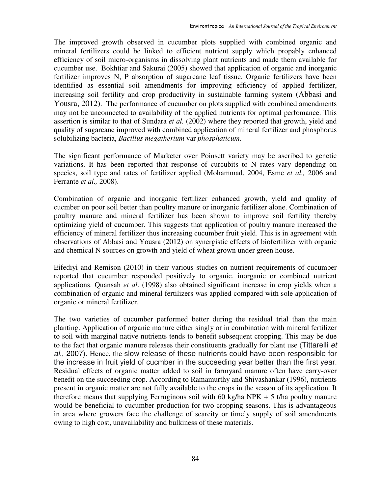The improved growth observed in cucumber plots supplied with combined organic and mineral fertilizers could be linked to efficient nutrient supply which propably enhanced efficiency of soil micro-organisms in dissolving plant nutrients and made them available for cucumber use. Bokhtiar and Sakurai (2005) showed that application of organic and inorganic fertilizer improves N, P absorption of sugarcane leaf tissue. Organic fertilizers have been identified as essential soil amendments for improving efficiency of applied fertilizer, increasing soil fertility and crop productivity in sustainable farming system (Abbasi and Yousra, 2012). The performance of cucumber on plots supplied with combined amendments may not be unconnected to availability of the applied nutrients for optimal perfomance. This assertion is similar to that of Sundara *et al.* (2002) where they reported that growth, yield and quality of sugarcane improved with combined application of mineral fertilizer and phosphorus solubilizing bacteria, *Bacillus megatherium* var *phosphaticum*.

The significant performance of Marketer over Poinsett variety may be ascribed to genetic variations. It has been reported that response of curcubits to N rates vary depending on species, soil type and rates of fertilizer applied (Mohammad, 2004, Esme *et al.,* 2006 and Ferrante *et al.,* 2008).

Combination of organic and inorganic fertilizer enhanced growth, yield and quality of cucmber on poor soil better than poultry manure or inorganic fertilizer alone. Combination of poultry manure and mineral fertilizer has been shown to improve soil fertility thereby optimizing yield of cucumber. This suggests that application of poultry manure increased the efficiency of mineral fertilizer thus increasing cucumber fruit yield. This is in agreement with observations of Abbasi and Yousra (2012) on synergistic effects of biofertilizer with organic and chemical N sources on growth and yield of wheat grown under green house.

Eifediyi and Remison (2010) in their various studies on nutrient requirements of cucumber reported that cucumber responded positively to organic, inorganic or combined nutrient applications. Quansah *et al*. (1998) also obtained significant increase in crop yields when a combination of organic and mineral fertilizers was applied compared with sole application of organic or mineral fertilizer.

The two varieties of cucumber performed better during the residual trial than the main planting. Application of organic manure either singly or in combination with mineral fertilizer to soil with marginal native nutrients tends to benefit subsequent cropping. This may be due to the fact that organic manure releases their constituents gradually for plant use (Tittarelli et al., 2007). Hence, the slow release of these nutrients could have been responsible for the increase in fruit yield of cucmber in the succeeding year better than the first year. Residual effects of organic matter added to soil in farmyard manure often have carry-over benefit on the succeeding crop. According to Ramamurthy and Shivashankar (1996), nutrients present in organic matter are not fully available to the crops in the season of its application. It therefore means that supplying Ferruginous soil with 60 kg/ha NPK + 5 t/ha poultry manure would be beneficial to cucumber production for two cropping seasons. This is advantageous in area where growers face the challenge of scarcity or timely supply of soil amendments owing to high cost, unavailability and bulkiness of these materials.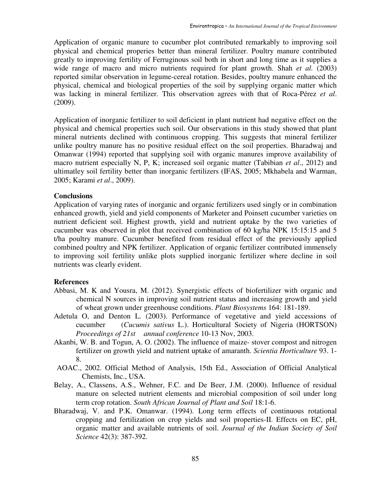Application of organic manure to cucumber plot contributed remarkably to improving soil physical and chemical properies better than mineral fertilizer. Poultry manure contributed greatly to improving fertility of Ferruginous soil both in short and long time as it supplies a wide range of macro and micro nutrients required for plant growth. Shah *et al.* (2003) reported similar observation in legume-cereal rotation. Besides, poultry manure enhanced the physical, chemical and biological properties of the soil by supplying organic matter which was lacking in mineral fertilizer. This observation agrees with that of Roca-Pérez *et al*. (2009).

Application of inorganic fertilizer to soil deficient in plant nutrient had negative effect on the physical and chemical properties such soil. Our observations in this study showed that plant mineral nutrients declined with continuous cropping. This suggests that mineral fertilizer unlike poultry manure has no positive residual effect on the soil properties. Bharadwaj and Omanwar (1994) reported that supplying soil with organic manures improve availability of macro nutrient especially N, P, K; increased soil organic matter (Tabibian *et al*., 2012) and ultimatley soil fertility better than inorganic fertilizers (IFAS, 2005; Mkhabela and Warman, 2005; Karami *et al*., 2009).

### **Conclusions**

Application of varying rates of inorganic and organic fertilizers used singly or in combination enhanced growth, yield and yield components of Marketer and Poinsett cucumber varieties on nutrient deficient soil. Highest growth, yield and nutrient uptake by the two varieties of cucumber was observed in plot that received combination of 60 kg/ha NPK 15:15:15 and 5 t/ha poultry manure. Cucumber benefited from residual effect of the previously applied combined poultry and NPK fertilizer. Application of organic fertilizer contributed immensely to improving soil fertility unlike plots supplied inorganic fertilizer where decline in soil nutrients was clearly evident.

#### **References**

- Abbasi, M. K and Yousra, M. (2012). Synergistic effects of biofertilizer with organic and chemical N sources in improving soil nutrient status and increasing growth and yield of wheat grown under greenhouse conditions. *Plant Biosystems* 164: 181-189.
- Adetula O, and Denton L. (2003). Performance of vegetative and yield accessions of cucumber (*Cucumis sativus* L.). Horticultural Society of Nigeria (HORTSON) *Proceedings of 21st annual conference* 10-13 Nov, 2003.
- Akanbi, W. B. and Togun, A. O. (2002). The influence of maize- stover compost and nitrogen fertilizer on growth yield and nutrient uptake of amaranth. *Scientia Horticulture* 93. 1- 8.
- AOAC., 2002. Official Method of Analysis, 15th Ed., Association of Official Analytical Chemists, Inc., USA.
- Belay, A., Classens, A.S., Wehner, F.C. and De Beer, J.M. (2000). Influence of residual manure on selected nutrient elements and microbial composition of soil under long term crop rotation. *South African Journal of Plant and Soil* 18:1-6.
- Bharadwaj, V. and P.K. Omanwar. (1994). Long term effects of continuous rotational cropping and fertilization on crop yields and soil properties-II. Effects on EC, pH, organic matter and available nutrients of soil. *Journal of the Indian Society of Soil Science* 42(3): 387-392.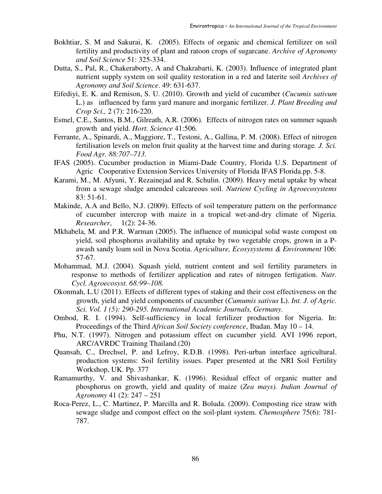- Bokhtiar, S. M and Sakurai, K. (2005). Effects of organic and chemical fertilizer on soil fertility and productivity of plant and ratoon crops of sugarcane. *Archive of Agronomy and Soil Science* 51: 325-334.
- Dutta, S., Pal, R., Chakeraborty, A and Chakrabarti, K. (2003). Influence of integrated plant nutrient supply system on soil quality restoration in a red and laterite soil *Archives of Agronomy and Soil Science*. 49: 631-637.
- Eifediyi, E. K. and Remison, S. U. (2010). Growth and yield of cucumber (*Cucumis sativum*  L.) as influenced by farm yard manure and inorganic fertilizer. *J. Plant Breeding and Crop Sci.,* 2 (7): 216-220.
- Esmel, C.E., Santos, B.M., Gilreath, A.R. (2006)*.* Effects of nitrogen rates on summer squash growth and yield. *Hort. Science* 41:506*.*
- Ferrante, A., Spinardi, A., Maggiore, T., Testoni, A., Gallina, P. M. (2008). Effect of nitrogen fertilisation levels on melon fruit quality at the harvest time and during storage*. J. Sci. Food Agr. 88:707–713.*
- IFAS (2005). Cucumber production in Miami-Dade Country, Florida U.S. Department of Agric Cooperative Extension Services University of Florida IFAS Florida.pp. 5-8.
- Karami, M., M. Afyuni, Y. Rezainejad and R. Schulin. (2009). Heavy metal uptake by wheat from a sewage sludge amended calcareous soil. *Nutrient Cycling in Agroecosystems*  83: 51-61.
- Makinde, A.A and Bello, N.J. (2009). Effects of soil temperature pattern on the performance of cucumber intercrop with maize in a tropical wet-and-dry climate of Nigeria. *Researcher*, 1(2): 24-36.
- Mkhabela, M. and P.R. Warman (2005). The influence of municipal solid waste compost on yield, soil phosphorus availability and uptake by two vegetable crops, grown in a Pawash sandy loam soil in Nova Scotia. *Agriculture, Ecosysystems & Environment* 106: 57-67.
- Mohammad, M.J. (2004). Squash yield, nutrient content and soil fertility parameters in response to methods of fertilizer application and rates of nitrogen fertigation. *Nutr. Cycl. Agroecosyst. 68:99–108.*
- Okonmah, L.U (2011). Effects of different types of staking and their cost effectiveness on the growth, yield and yield components of cucumber (*Cumumis sativus* L). *Int. J. of Agric. Sci. Vol. 1 (5): 290-295. International Academic Journals, Germany.*
- Ombod, R. I. (1994). Self-sufficiency in local fertilizer production for Nigeria. In: Proceedings of the Third *African Soil Society conference*, Ibadan. May 10 – 14.
- Phu, N.T. (1997). Nitrogen and potassium effect on cucumber yield. AVI 1996 report, ARC/AVRDC Training Thailand.(20)
- Quansah, C., Drechsel, P. and Lefroy, R.D.B. (1998). Peri-urban interface agricultural. production systems: Soil fertility issues. Paper presented at the NRI Soil Fertility Workshop, UK. Pp. 377
- Ramamurthy, V. and Shivashankar, K. (1996). Residual effect of organic matter and phosphorus on growth, yield and quality of maize (*Zea mays). Indian Journal of Agronomy* 41 (2): 247 – 251
- Roca-Perez, L., C. Martinez, P. Marcilla and R. Boluda. (2009). Composting rice straw with sewage sludge and compost effect on the soil-plant system. *Chemosphere* 75(6): 781- 787.